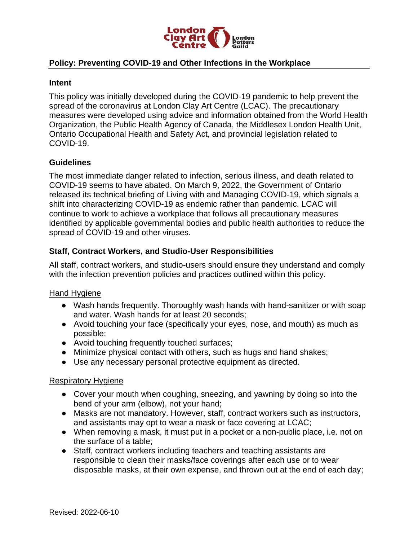

## **Policy: Preventing COVID-19 and Other Infections in the Workplace**

#### **Intent**

This policy was initially developed during the COVID-19 pandemic to help prevent the spread of the coronavirus at London Clay Art Centre (LCAC). The precautionary measures were developed using advice and information obtained from the World Health Organization, the Public Health Agency of Canada, the Middlesex London Health Unit, Ontario Occupational Health and Safety Act, and provincial legislation related to COVID-19.

## **Guidelines**

The most immediate danger related to infection, serious illness, and death related to COVID-19 seems to have abated. On March 9, 2022, the Government of Ontario released its technical briefing of Living with and Managing COVID-19, which signals a shift into characterizing COVID-19 as endemic rather than pandemic. LCAC will continue to work to achieve a workplace that follows all precautionary measures identified by applicable governmental bodies and public health authorities to reduce the spread of COVID-19 and other viruses.

## **Staff, Contract Workers, and Studio-User Responsibilities**

All staff, contract workers, and studio-users should ensure they understand and comply with the infection prevention policies and practices outlined within this policy.

#### Hand Hygiene

- Wash hands frequently. Thoroughly wash hands with hand-sanitizer or with soap and water. Wash hands for at least 20 seconds;
- Avoid touching your face (specifically your eyes, nose, and mouth) as much as possible;
- Avoid touching frequently touched surfaces;
- Minimize physical contact with others, such as hugs and hand shakes;
- Use any necessary personal protective equipment as directed.

## Respiratory Hygiene

- Cover your mouth when coughing, sneezing, and yawning by doing so into the bend of your arm (elbow), not your hand;
- Masks are not mandatory. However, staff, contract workers such as instructors, and assistants may opt to wear a mask or face covering at LCAC;
- When removing a mask, it must put in a pocket or a non-public place, i.e. not on the surface of a table;
- Staff, contract workers including teachers and teaching assistants are responsible to clean their masks/face coverings after each use or to wear disposable masks, at their own expense, and thrown out at the end of each day;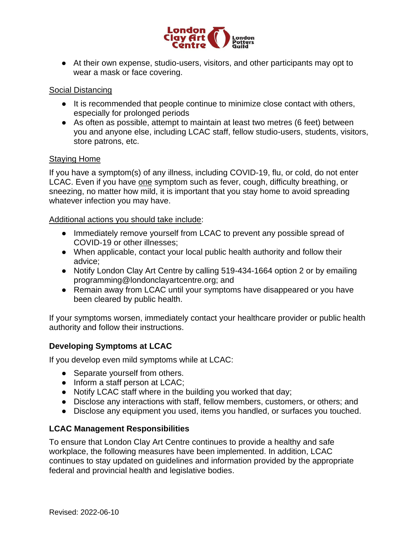

● At their own expense, studio-users, visitors, and other participants may opt to wear a mask or face covering.

#### Social Distancing

- It is recommended that people continue to minimize close contact with others, especially for prolonged periods
- As often as possible, attempt to maintain at least two metres (6 feet) between you and anyone else, including LCAC staff, fellow studio-users, students, visitors, store patrons, etc.

#### Staying Home

If you have a symptom(s) of any illness, including COVID-19, flu, or cold, do not enter LCAC. Even if you have one symptom such as fever, cough, difficulty breathing, or sneezing, no matter how mild, it is important that you stay home to avoid spreading whatever infection you may have.

Additional actions you should take include:

- Immediately remove yourself from LCAC to prevent any possible spread of COVID-19 or other illnesses;
- When applicable, contact your local public health authority and follow their advice;
- Notify London Clay Art Centre by calling 519-434-1664 option 2 or by emailing programming@londonclayartcentre.org; and
- Remain away from LCAC until your symptoms have disappeared or you have been cleared by public health.

If your symptoms worsen, immediately contact your healthcare provider or public health authority and follow their instructions.

## **Developing Symptoms at LCAC**

If you develop even mild symptoms while at LCAC:

- Separate yourself from others.
- Inform a staff person at LCAC;
- Notify LCAC staff where in the building you worked that day;
- Disclose any interactions with staff, fellow members, customers, or others; and
- Disclose any equipment you used, items you handled, or surfaces you touched.

## **LCAC Management Responsibilities**

To ensure that London Clay Art Centre continues to provide a healthy and safe workplace, the following measures have been implemented. In addition, LCAC continues to stay updated on guidelines and information provided by the appropriate federal and provincial health and legislative bodies.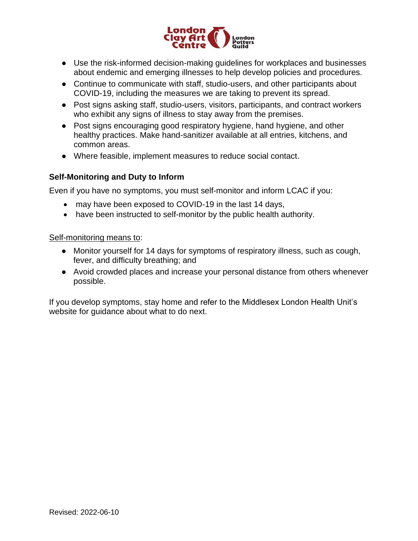

- Use the risk-informed decision-making guidelines for workplaces and businesses about endemic and emerging illnesses to help develop policies and procedures.
- Continue to communicate with staff, studio-users, and other participants about COVID-19, including the measures we are taking to prevent its spread.
- Post signs asking staff, studio-users, visitors, participants, and contract workers who exhibit any signs of illness to stay away from the premises.
- Post signs encouraging good respiratory hygiene, hand hygiene, and other healthy practices. Make hand-sanitizer available at all entries, kitchens, and common areas.
- Where feasible, implement measures to reduce social contact.

# **Self-Monitoring and Duty to Inform**

Even if you have no symptoms, you must self-monitor and inform LCAC if you:

- may have been exposed to COVID-19 in the last 14 days,
- have been instructed to self-monitor by the public health authority.

## Self-monitoring means to:

- Monitor yourself for 14 days for symptoms of respiratory illness, such as cough, fever, and difficulty breathing; and
- Avoid crowded places and increase your personal distance from others whenever possible.

If you develop symptoms, stay home and refer to the Middlesex London Health Unit's website for guidance about what to do next.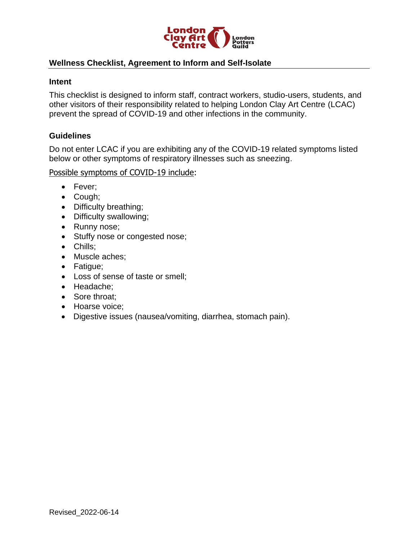

## **Wellness Checklist, Agreement to Inform and Self-Isolate**

#### **Intent**

This checklist is designed to inform staff, contract workers, studio-users, students, and other visitors of their responsibility related to helping London Clay Art Centre (LCAC) prevent the spread of COVID-19 and other infections in the community.

#### **Guidelines**

Do not enter LCAC if you are exhibiting any of the COVID-19 related symptoms listed below or other symptoms of respiratory illnesses such as sneezing.

Possible symptoms of COVID-19 include:

- Fever;
- Cough;
- Difficulty breathing;
- Difficulty swallowing;
- Runny nose;
- Stuffy nose or congested nose;
- Chills;
- Muscle aches;
- Fatigue;
- Loss of sense of taste or smell;
- Headache;
- Sore throat:
- Hoarse voice;
- Digestive issues (nausea/vomiting, diarrhea, stomach pain).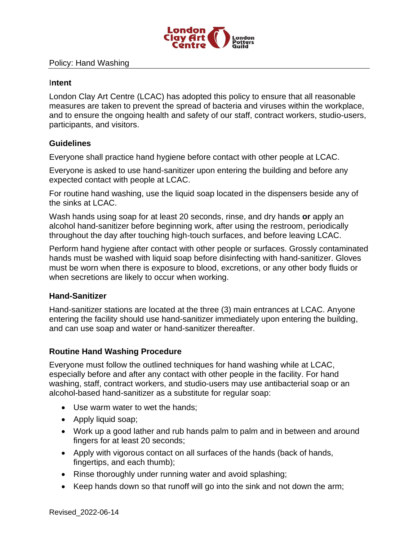

#### Policy: Hand Washing

#### I**ntent**

London Clay Art Centre (LCAC) has adopted this policy to ensure that all reasonable measures are taken to prevent the spread of bacteria and viruses within the workplace, and to ensure the ongoing health and safety of our staff, contract workers, studio-users, participants, and visitors.

## **Guidelines**

Everyone shall practice hand hygiene before contact with other people at LCAC.

Everyone is asked to use hand-sanitizer upon entering the building and before any expected contact with people at LCAC.

For routine hand washing, use the liquid soap located in the dispensers beside any of the sinks at LCAC.

Wash hands using soap for at least 20 seconds, rinse, and dry hands **or** apply an alcohol hand-sanitizer before beginning work, after using the restroom, periodically throughout the day after touching high-touch surfaces, and before leaving LCAC.

Perform hand hygiene after contact with other people or surfaces. Grossly contaminated hands must be washed with liquid soap before disinfecting with hand-sanitizer. Gloves must be worn when there is exposure to blood, excretions, or any other body fluids or when secretions are likely to occur when working.

## **Hand-Sanitizer**

Hand-sanitizer stations are located at the three (3) main entrances at LCAC. Anyone entering the facility should use hand-sanitizer immediately upon entering the building, and can use soap and water or hand-sanitizer thereafter.

## **Routine Hand Washing Procedure**

Everyone must follow the outlined techniques for hand washing while at LCAC, especially before and after any contact with other people in the facility. For hand washing, staff, contract workers, and studio-users may use antibacterial soap or an alcohol-based hand-sanitizer as a substitute for regular soap:

- Use warm water to wet the hands;
- Apply liquid soap;
- Work up a good lather and rub hands palm to palm and in between and around fingers for at least 20 seconds;
- Apply with vigorous contact on all surfaces of the hands (back of hands, fingertips, and each thumb);
- Rinse thoroughly under running water and avoid splashing;
- Keep hands down so that runoff will go into the sink and not down the arm;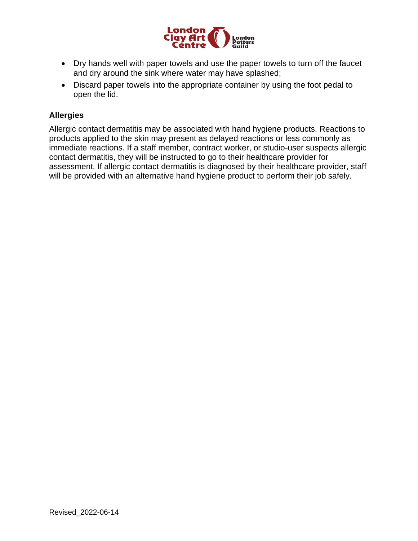

- Dry hands well with paper towels and use the paper towels to turn off the faucet and dry around the sink where water may have splashed;
- Discard paper towels into the appropriate container by using the foot pedal to open the lid.

# **Allergies**

Allergic contact dermatitis may be associated with hand hygiene products. Reactions to products applied to the skin may present as delayed reactions or less commonly as immediate reactions. If a staff member, contract worker, or studio-user suspects allergic contact dermatitis, they will be instructed to go to their healthcare provider for assessment. If allergic contact dermatitis is diagnosed by their healthcare provider, staff will be provided with an alternative hand hygiene product to perform their job safely.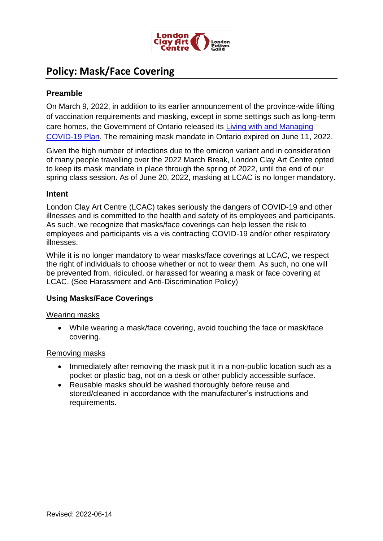

# **Policy: Mask/Face Covering**

# **Preamble**

On March 9, 2022, in addition to its earlier announcement of the province-wide lifting of vaccination requirements and masking, except in some settings such as long-term care homes, the Government of Ontario released its [Living with and Managing](On%20March%209,%20the%20Government%20of%20Ontario%20released%20its%20Living%20with%20and%20Managing%20COVID-19%20Plan,%20and%20had%20previously%20announced%20the%20province-wide%20lifting%20of%20vaccination%20requirements%20and%20masking,%20except%20in%20some%20settings%20such%20as%20long-term%20care%20homes.%20The%20remaining%20masking%20mandate%20in%20Ontario%20is%20set%20to%20expire%20on%20June%2011.)  [COVID-19 Plan.](On%20March%209,%20the%20Government%20of%20Ontario%20released%20its%20Living%20with%20and%20Managing%20COVID-19%20Plan,%20and%20had%20previously%20announced%20the%20province-wide%20lifting%20of%20vaccination%20requirements%20and%20masking,%20except%20in%20some%20settings%20such%20as%20long-term%20care%20homes.%20The%20remaining%20masking%20mandate%20in%20Ontario%20is%20set%20to%20expire%20on%20June%2011.) The remaining mask mandate in Ontario expired on June 11, 2022.

Given the high number of infections due to the omicron variant and in consideration of many people travelling over the 2022 March Break, London Clay Art Centre opted to keep its mask mandate in place through the spring of 2022, until the end of our spring class session. As of June 20, 2022, masking at LCAC is no longer mandatory.

# **Intent**

London Clay Art Centre (LCAC) takes seriously the dangers of COVID-19 and other illnesses and is committed to the health and safety of its employees and participants. As such, we recognize that masks/face coverings can help lessen the risk to employees and participants vis a vis contracting COVID-19 and/or other respiratory illnesses.

While it is no longer mandatory to wear masks/face coverings at LCAC, we respect the right of individuals to choose whether or not to wear them. As such, no one will be prevented from, ridiculed, or harassed for wearing a mask or face covering at LCAC. (See Harassment and Anti-Discrimination Policy)

# **Using Masks/Face Coverings**

## Wearing masks

• While wearing a mask/face covering, avoid touching the face or mask/face covering.

## Removing masks

- Immediately after removing the mask put it in a non-public location such as a pocket or plastic bag, not on a desk or other publicly accessible surface.
- Reusable masks should be washed thoroughly before reuse and stored/cleaned in accordance with the manufacturer's instructions and requirements.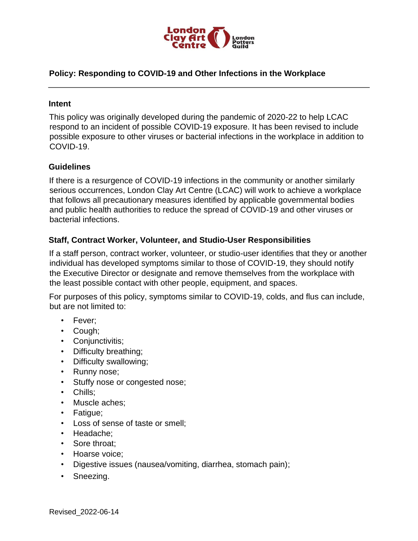

## **Policy: Responding to COVID-19 and Other Infections in the Workplace**

#### **Intent**

This policy was originally developed during the pandemic of 2020-22 to help LCAC respond to an incident of possible COVID-19 exposure. It has been revised to include possible exposure to other viruses or bacterial infections in the workplace in addition to COVID-19.

## **Guidelines**

If there is a resurgence of COVID-19 infections in the community or another similarly serious occurrences, London Clay Art Centre (LCAC) will work to achieve a workplace that follows all precautionary measures identified by applicable governmental bodies and public health authorities to reduce the spread of COVID-19 and other viruses or bacterial infections.

## **Staff, Contract Worker, Volunteer, and Studio-User Responsibilities**

If a staff person, contract worker, volunteer, or studio-user identifies that they or another individual has developed symptoms similar to those of COVID-19, they should notify the Executive Director or designate and remove themselves from the workplace with the least possible contact with other people, equipment, and spaces.

For purposes of this policy, symptoms similar to COVID-19, colds, and flus can include, but are not limited to:

- Fever;
- Cough;
- Conjunctivitis;
- Difficulty breathing;
- Difficulty swallowing;
- Runny nose;
- Stuffy nose or congested nose;
- Chills;
- Muscle aches;
- Fatigue;
- Loss of sense of taste or smell;
- Headache;
- Sore throat;
- Hoarse voice;
- Digestive issues (nausea/vomiting, diarrhea, stomach pain);
- Sneezing.